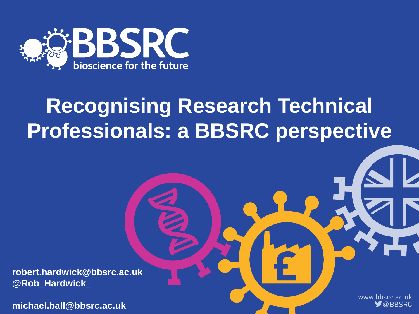

# **Recognising Research Technical Professionals: a BBSRC perspective**

**robert.hardwick@bbsrc.ac.uk @Rob\_Hardwick\_**

**michael.ball@bbsrc.ac.uk**

www.bbsrc.ac.uk  $\blacktriangleright$  @BBSRC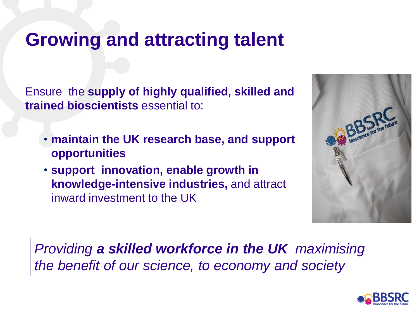### **Growing and attracting talent**

Ensure the **supply of highly qualified, skilled and trained bioscientists** essential to:

- **maintain the UK research base, and support opportunities**
- **support innovation, enable growth in knowledge-intensive industries,** and attract inward investment to the UK



*Providing a skilled workforce in the UK maximising the benefit of our science, to economy and society*

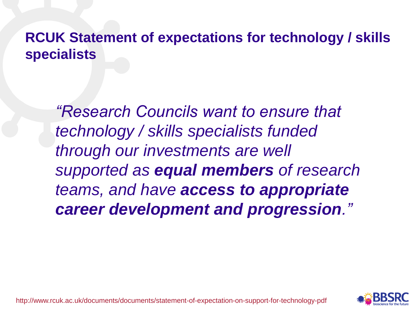### **RCUK Statement of expectations for technology / skills specialists**

*"Research Councils want to ensure that technology / skills specialists funded through our investments are well supported as equal members of research teams, and have access to appropriate career development and progression."*

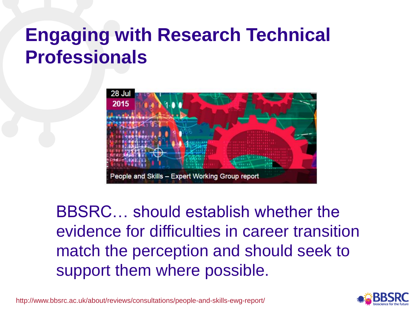# **Engaging with Research Technical Professionals**



BBSRC… should establish whether the evidence for difficulties in career transition match the perception and should seek to support them where possible.



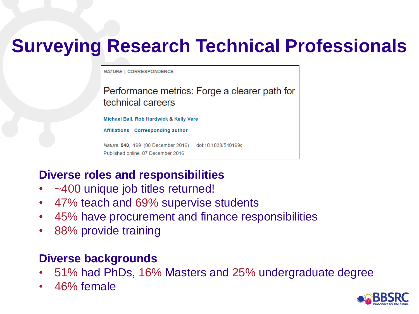# **Surveying Research Technical Professionals**

**NATURE | CORRESPONDENCE** 

Performance metrics: Forge a clearer path for technical careers

Michael Ball, Rob Hardwick & Kelly Vere

Affiliations | Corresponding author

Nature 540, 199 (08 December 2016) | doi:10.1038/540199c Published online 07 December 2016

#### **Diverse roles and responsibilities**

- ~400 unique job titles returned!
- 47% teach and 69% supervise students
- 45% have procurement and finance responsibilities
- 88% provide training

#### **Diverse backgrounds**

- 51% had PhDs, 16% Masters and 25% undergraduate degree
- 46% female

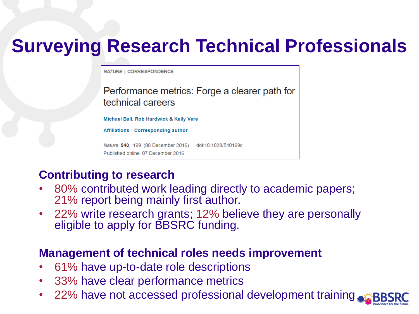## **Surveying Research Technical Professionals**

**NATURE | CORRESPONDENCE** 

Performance metrics: Forge a clearer path for technical careers

Michael Ball, Rob Hardwick & Kelly Vere

Affiliations | Corresponding author

Nature 540, 199 (08 December 2016) | doi:10.1038/540199c Published online 07 December 2016

#### **Contributing to research**

- 80% contributed work leading directly to academic papers; 21% report being mainly first author.
- 22% write research grants; 12% believe they are personally eligible to apply for BBSRC funding.

#### **Management of technical roles needs improvement**

- 61% have up-to-date role descriptions
- 33% have clear performance metrics
- 22% have not accessed professional development training.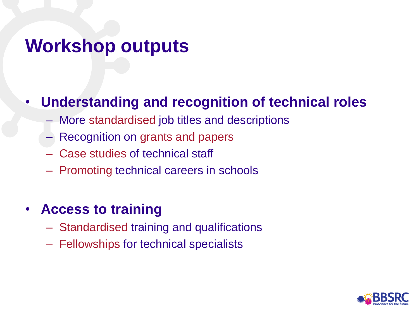## **Workshop outputs**

### • **Understanding and recognition of technical roles**

- More standardised job titles and descriptions
- Recognition on grants and papers
- Case studies of technical staff
- Promoting technical careers in schools

### • **Access to training**

- Standardised training and qualifications
- Fellowships for technical specialists

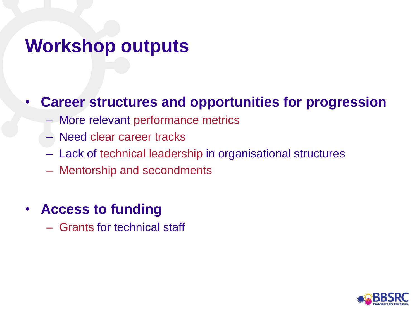## **Workshop outputs**

### • **Career structures and opportunities for progression**

- More relevant performance metrics
- Need clear career tracks
- Lack of technical leadership in organisational structures
- Mentorship and secondments
- **Access to funding**
	- Grants for technical staff

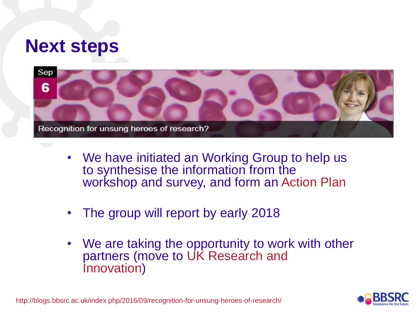### **Next steps**



- We have initiated an Working Group to help us to synthesise the information from the workshop and survey, and form an Action Plan
- The group will report by early 2018
- We are taking the opportunity to work with other partners (move to UK Research and Innovation)